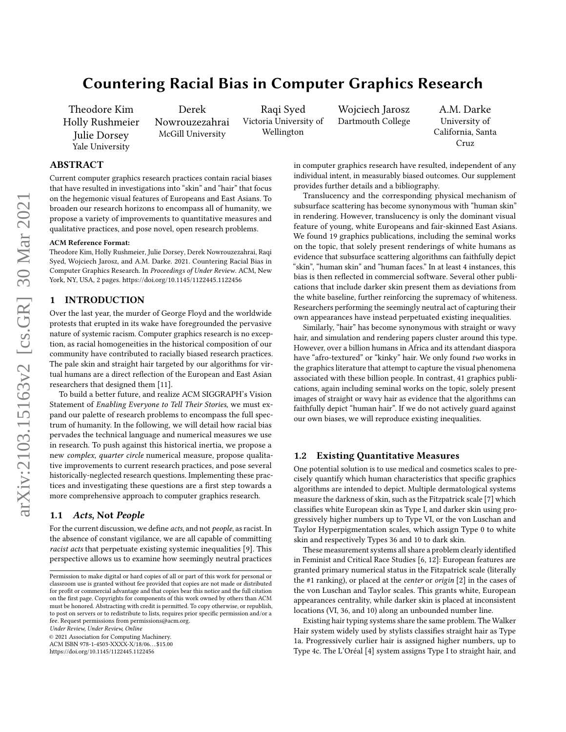# Countering Racial Bias in Computer Graphics Research

Theodore Kim Holly Rushmeier Julie Dorsey Yale University

Derek

Nowrouzezahrai McGill University

Raqi Syed Victoria University of Wellington

Wojciech Jarosz Dartmouth College

A.M. Darke University of California, Santa Cruz

# ABSTRACT

Current computer graphics research practices contain racial biases that have resulted in investigations into "skin" and "hair" that focus on the hegemonic visual features of Europeans and East Asians. To broaden our research horizons to encompass all of humanity, we propose a variety of improvements to quantitative measures and qualitative practices, and pose novel, open research problems.

#### ACM Reference Format:

Theodore Kim, Holly Rushmeier, Julie Dorsey, Derek Nowrouzezahrai, Raqi Syed, Wojciech Jarosz, and A.M. Darke. 2021. Countering Racial Bias in Computer Graphics Research. In Proceedings of Under Review. ACM, New York, NY, USA, [2](#page-1-0) pages.<https://doi.org/10.1145/1122445.1122456>

# 1 INTRODUCTION

Over the last year, the murder of George Floyd and the worldwide protests that erupted in its wake have foregrounded the pervasive nature of systemic racism. Computer graphics research is no exception, as racial homogeneities in the historical composition of our community have contributed to racially biased research practices. The pale skin and straight hair targeted by our algorithms for virtual humans are a direct reflection of the European and East Asian researchers that designed them [\[11\]](#page-1-1).

To build a better future, and realize ACM SIGGRAPH's Vision Statement of Enabling Everyone to Tell Their Stories, we must expand our palette of research problems to encompass the full spectrum of humanity. In the following, we will detail how racial bias pervades the technical language and numerical measures we use in research. To push against this historical inertia, we propose a new complex, quarter circle numerical measure, propose qualitative improvements to current research practices, and pose several historically-neglected research questions. Implementing these practices and investigating these questions are a first step towards a more comprehensive approach to computer graphics research.

#### 1.1 Acts, Not People

For the current discussion, we define acts, and not people, as racist. In the absence of constant vigilance, we are all capable of committing racist acts that perpetuate existing systemic inequalities [\[9\]](#page-1-2). This perspective allows us to examine how seemingly neutral practices

Under Review, Under Review, Online

© 2021 Association for Computing Machinery.

ACM ISBN 978-1-4503-XXXX-X/18/06. . . \$15.00

<https://doi.org/10.1145/1122445.1122456>

in computer graphics research have resulted, independent of any individual intent, in measurably biased outcomes. Our supplement provides further details and a bibliography.

Translucency and the corresponding physical mechanism of subsurface scattering has become synonymous with "human skin" in rendering. However, translucency is only the dominant visual feature of young, white Europeans and fair-skinned East Asians. We found 19 graphics publications, including the seminal works on the topic, that solely present renderings of white humans as evidence that subsurface scattering algorithms can faithfully depict "skin", "human skin" and "human faces." In at least 4 instances, this bias is then reflected in commercial software. Several other publications that include darker skin present them as deviations from the white baseline, further reinforcing the supremacy of whiteness. Researchers performing the seemingly neutral act of capturing their own appearances have instead perpetuated existing inequalities.

Similarly, "hair" has become synonymous with straight or wavy hair, and simulation and rendering papers cluster around this type. However, over a billion humans in Africa and its attendant diaspora have "afro-textured" or "kinky" hair. We only found two works in the graphics literature that attempt to capture the visual phenomena associated with these billion people. In contrast, 41 graphics publications, again including seminal works on the topic, solely present images of straight or wavy hair as evidence that the algorithms can faithfully depict "human hair". If we do not actively guard against our own biases, we will reproduce existing inequalities.

## 1.2 Existing Quantitative Measures

One potential solution is to use medical and cosmetics scales to precisely quantify which human characteristics that specific graphics algorithms are intended to depict. Multiple dermatological systems measure the darkness of skin, such as the Fitzpatrick scale [\[7\]](#page-1-3) which classifies white European skin as Type I, and darker skin using progressively higher numbers up to Type VI, or the von Luschan and Taylor Hyperpigmentation scales, which assign Type 0 to white skin and respectively Types 36 and 10 to dark skin.

These measurement systems all share a problem clearly identified in Feminist and Critical Race Studies [\[6,](#page-1-4) [12\]](#page-1-5): European features are granted primary numerical status in the Fitzpatrick scale (literally the #1 ranking), or placed at the center or origin [\[2\]](#page-1-6) in the cases of the von Luschan and Taylor scales. This grants white, European appearances centrality, while darker skin is placed at inconsistent locations (VI, 36, and 10) along an unbounded number line.

Existing hair typing systems share the same problem. The Walker Hair system widely used by stylists classifies straight hair as Type 1a. Progressively curlier hair is assigned higher numbers, up to Type 4c. The L'Oréal [\[4\]](#page-1-7) system assigns Type I to straight hair, and

Permission to make digital or hard copies of all or part of this work for personal or classroom use is granted without fee provided that copies are not made or distributed for profit or commercial advantage and that copies bear this notice and the full citation on the first page. Copyrights for components of this work owned by others than ACM must be honored. Abstracting with credit is permitted. To copy otherwise, or republish, to post on servers or to redistribute to lists, requires prior specific permission and/or a fee. Request permissions from permissions@acm.org.